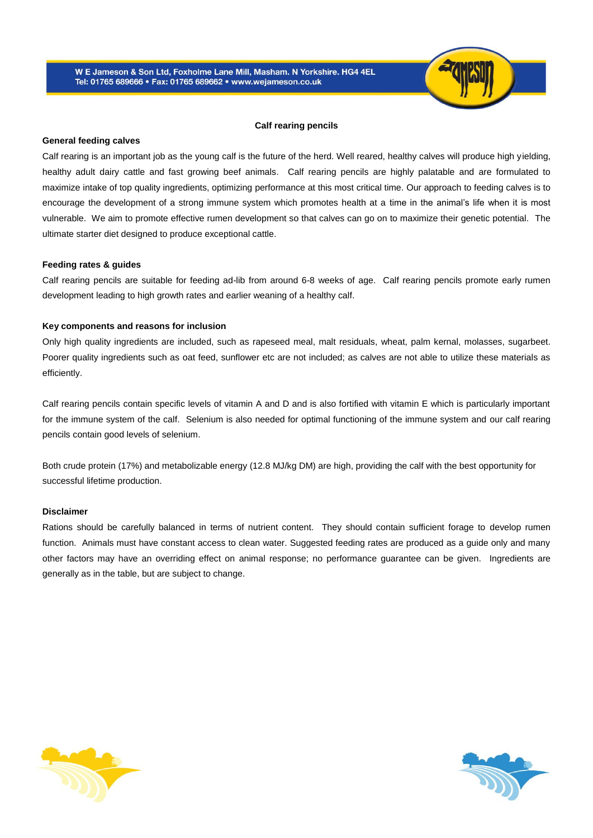

### **Calf rearing pencils**

## **General feeding calves**

Calf rearing is an important job as the young calf is the future of the herd. Well reared, healthy calves will produce high yielding, healthy adult dairy cattle and fast growing beef animals. Calf rearing pencils are highly palatable and are formulated to maximize intake of top quality ingredients, optimizing performance at this most critical time. Our approach to feeding calves is to encourage the development of a strong immune system which promotes health at a time in the animal's life when it is most vulnerable. We aim to promote effective rumen development so that calves can go on to maximize their genetic potential. The ultimate starter diet designed to produce exceptional cattle.

## **Feeding rates & guides**

Calf rearing pencils are suitable for feeding ad-lib from around 6-8 weeks of age. Calf rearing pencils promote early rumen development leading to high growth rates and earlier weaning of a healthy calf.

# **Key components and reasons for inclusion**

Only high quality ingredients are included, such as rapeseed meal, malt residuals, wheat, palm kernal, molasses, sugarbeet. Poorer quality ingredients such as oat feed, sunflower etc are not included; as calves are not able to utilize these materials as efficiently.

Calf rearing pencils contain specific levels of vitamin A and D and is also fortified with vitamin E which is particularly important for the immune system of the calf. Selenium is also needed for optimal functioning of the immune system and our calf rearing pencils contain good levels of selenium.

Both crude protein (17%) and metabolizable energy (12.8 MJ/kg DM) are high, providing the calf with the best opportunity for successful lifetime production.

### **Disclaimer**

Rations should be carefully balanced in terms of nutrient content. They should contain sufficient forage to develop rumen function. Animals must have constant access to clean water. Suggested feeding rates are produced as a guide only and many other factors may have an overriding effect on animal response; no performance guarantee can be given. Ingredients are generally as in the table, but are subject to change.